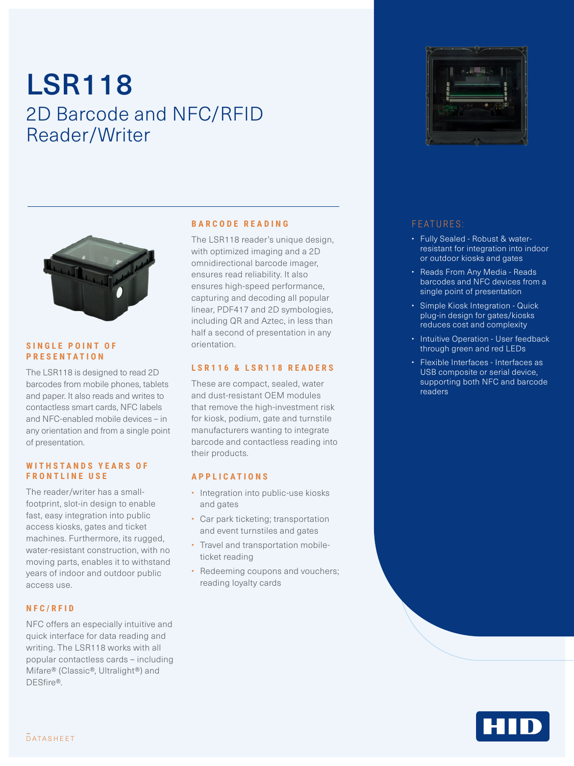# LSR118 2D Barcode and NFC/RFID Reader/Writer



#### **SINGLE POINT OF PRESENTATION**

The LSR118 is designed to read 2D barcodes from mobile phones, tablets and paper. It also reads and writes to contactless smart cards, NFC labels and NFC-enabled mobile devices – in any orientation and from a single point of presentation.

#### WITHSTANDS YFARS OF **FRONTLINE USE**

The reader/writer has a smallfootprint, slot-in design to enable fast, easy integration into public access kiosks, gates and ticket machines. Furthermore, its rugged, water-resistant construction, with no moving parts, enables it to withstand years of indoor and outdoor public access use.

#### **NFC/RFID**

NFC offers an especially intuitive and quick interface for data reading and writing. The LSR118 works with all popular contactless cards – including Mifare® (Classic®, Ultralight®) and DESfire®.

#### **BARCODE READING**

The LSR118 reader's unique design, with optimized imaging and a 2D omnidirectional barcode imager, ensures read reliability. It also ensures high-speed performance, capturing and decoding all popular linear, PDF417 and 2D symbologies, including QR and Aztec, in less than half a second of presentation in any orientation.

#### **LSR116 & LSR118 READERS**

These are compact, sealed, water and dust-resistant OEM modules that remove the high-investment risk for kiosk, podium, gate and turnstile manufacturers wanting to integrate barcode and contactless reading into their products.

#### **APPLICATIONS**

- Integration into public-use kiosks and gates
- Car park ticketing; transportation and event turnstiles and gates
- Travel and transportation mobileticket reading
- Redeeming coupons and vouchers; reading loyalty cards



#### FEATURES:

- Fully Sealed Robust & waterresistant for integration into indoor or outdoor kiosks and gates
- Reads From Any Media Reads barcodes and NFC devices from a single point of presentation
- Simple Kiosk Integration Quick plug-in design for gates/kiosks reduces cost and complexity
- Intuitive Operation User feedback through green and red LEDs
- Flexible Interfaces Interfaces as USB composite or serial device, supporting both NFC and barcode readers